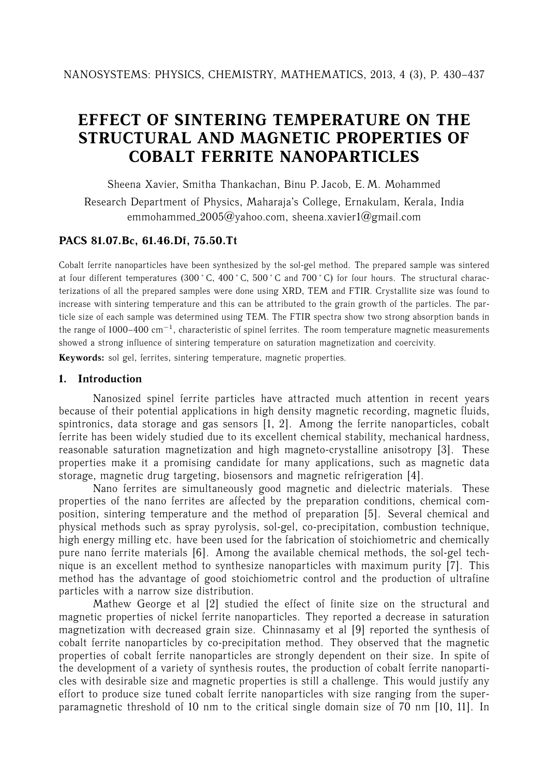# **EFFECT OF SINTERING TEMPERATURE ON THE STRUCTURAL AND MAGNETIC PROPERTIES OF COBALT FERRITE NANOPARTICLES**

Sheena Xavier, Smitha Thankachan, Binu P. Jacob, E. M. Mohammed

Research Department of Physics, Maharaja's College, Ernakulam, Kerala, India emmohammed  $2005@vahoo.com$ , sheena.xavier1@gmail.com

# **PACS 81.07.Bc, 61.46.Df, 75.50.Tt**

Cobalt ferrite nanoparticles have been synthesized by the sol-gel method. The prepared sample was sintered at four different temperatures (300 °C, 400 °C, 500 °C and 700 °C) for four hours. The structural characterizations of all the prepared samples were done using XRD, TEM and FTIR. Crystallite size was found to increase with sintering temperature and this can be attributed to the grain growth of the particles. The particle size of each sample was determined using TEM. The FTIR spectra show two strong absorption bands in the range of 1000–400 cm*−*<sup>1</sup>, characteristic of spinel ferrites. The room temperature magnetic measurements showed a strong influence of sintering temperature on saturation magnetization and coercivity.

**Keywords:** sol gel, ferrites, sintering temperature, magnetic properties.

## **1. Introduction**

Nanosized spinel ferrite particles have attracted much attention in recent years because of their potential applications in high density magnetic recording, magnetic fluids, spintronics, data storage and gas sensors  $\begin{bmatrix} 1, 2 \end{bmatrix}$ . Among the ferrite nanoparticles, cobalt ferrite has been widely studied due to its excellent chemical stability, mechanical hardness, reasonable saturation magnetization and high magneto-crystalline anisotropy [3]. These properties make it a promising candidate for many applications, such as magnetic data storage, magnetic drug targeting, biosensors and magnetic refrigeration [4].

Nano ferrites are simultaneously good magnetic and dielectric materials. These properties of the nano ferrites are affected by the preparation conditions, chemical composition, sintering temperature and the method of preparation [5]. Several chemical and physical methods such as spray pyrolysis, sol-gel, co-precipitation, combustion technique, high energy milling etc. have been used for the fabrication of stoichiometric and chemically pure nano ferrite materials [6]. Among the available chemical methods, the sol-gel technique is an excellent method to synthesize nanoparticles with maximum purity [7]. This method has the advantage of good stoichiometric control and the production of ultrafine particles with a narrow size distribution.

Mathew George et al [2] studied the effect of finite size on the structural and magnetic properties of nickel ferrite nanoparticles. They reported a decrease in saturation magnetization with decreased grain size. Chinnasamy et al [9] reported the synthesis of cobalt ferrite nanoparticles by co-precipitation method. They observed that the magnetic properties of cobalt ferrite nanoparticles are strongly dependent on their size. In spite of the development of a variety of synthesis routes, the production of cobalt ferrite nanoparticles with desirable size and magnetic properties is still a challenge. This would justify any effort to produce size tuned cobalt ferrite nanoparticles with size ranging from the superparamagnetic threshold of 10 nm to the critical single domain size of 70 nm [10, 11]. In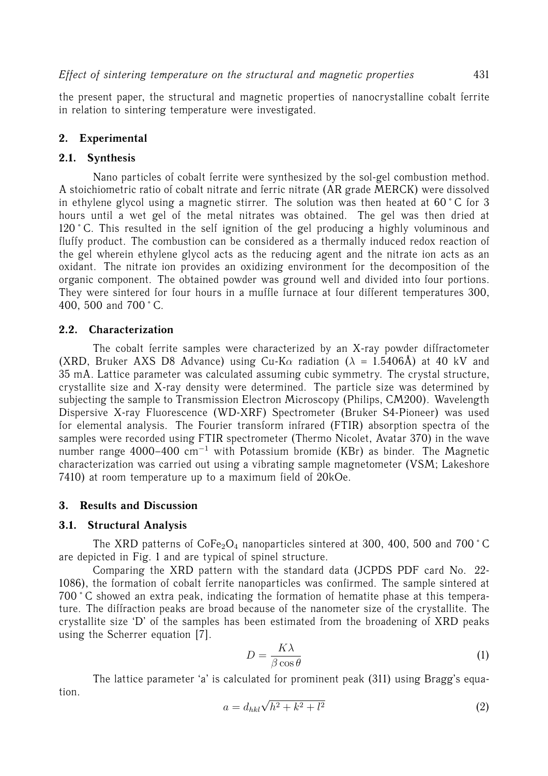the present paper, the structural and magnetic properties of nanocrystalline cobalt ferrite in relation to sintering temperature were investigated.

## **2. Experimental**

## **2.1. Synthesis**

Nano particles of cobalt ferrite were synthesized by the sol-gel combustion method. A stoichiometric ratio of cobalt nitrate and ferric nitrate (AR grade MERCK) were dissolved in ethylene glycol using a magnetic stirrer. The solution was then heated at  $60\degree C$  for 3 hours until a wet gel of the metal nitrates was obtained. The gel was then dried at 120 °C. This resulted in the self ignition of the gel producing a highly voluminous and fluffy product. The combustion can be considered as a thermally induced redox reaction of the gel wherein ethylene glycol acts as the reducing agent and the nitrate ion acts as an oxidant. The nitrate ion provides an oxidizing environment for the decomposition of the organic component. The obtained powder was ground well and divided into four portions. They were sintered for four hours in a muffle furnace at four different temperatures 300, 400, 500 and 700 ˚ C.

## **2.2. Characterization**

The cobalt ferrite samples were characterized by an X-ray powder diffractometer (XRD, Bruker AXS D8 Advance) using Cu-K $\alpha$  radiation ( $\lambda = 1.5406$ Å) at 40 kV and 35 mA. Lattice parameter was calculated assuming cubic symmetry. The crystal structure, crystallite size and X-ray density were determined. The particle size was determined by subjecting the sample to Transmission Electron Microscopy (Philips, CM200). Wavelength Dispersive X-ray Fluorescence (WD-XRF) Spectrometer (Bruker S4-Pioneer) was used for elemental analysis. The Fourier transform infrared (FTIR) absorption spectra of the samples were recorded using FTIR spectrometer (Thermo Nicolet, Avatar 370) in the wave number range 4000–400 cm*−*<sup>1</sup> with Potassium bromide (KBr) as binder. The Magnetic characterization was carried out using a vibrating sample magnetometer (VSM; Lakeshore 7410) at room temperature up to a maximum field of 20kOe.

#### **3. Results and Discussion**

#### **3.1. Structural Analysis**

The XRD patterns of  $\text{CoFe}_2\text{O}_4$  nanoparticles sintered at 300, 400, 500 and 700 °C are depicted in Fig. 1 and are typical of spinel structure.

Comparing the XRD pattern with the standard data (JCPDS PDF card No. 22- 1086), the formation of cobalt ferrite nanoparticles was confirmed. The sample sintered at 700 ˚ C showed an extra peak, indicating the formation of hematite phase at this temperature. The diffraction peaks are broad because of the nanometer size of the crystallite. The crystallite size 'D' of the samples has been estimated from the broadening of XRD peaks using the Scherrer equation [7].

$$
D = \frac{K\lambda}{\beta \cos \theta} \tag{1}
$$

The lattice parameter 'a' is calculated for prominent peak (311) using Bragg's equation.

$$
a = d_{hkl}\sqrt{h^2 + k^2 + l^2}
$$
 (2)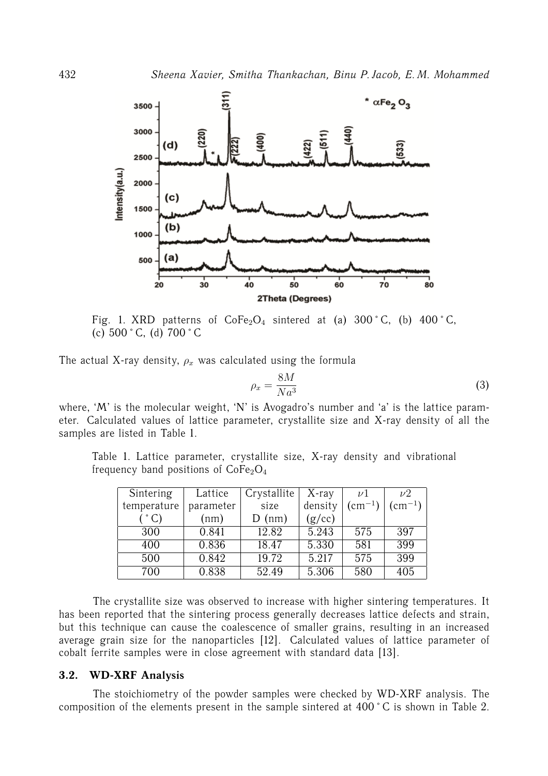

Fig. 1. XRD patterns of  $\text{CoFe}_2\text{O}_4$  sintered at (a) 300 °C, (b) 400 °C, (c)  $500 \degree C$ , (d)  $700 \degree C$ 

The actual X-ray density,  $\rho_x$  was calculated using the formula

$$
\rho_x = \frac{8M}{Na^3} \tag{3}
$$

where, 'M' is the molecular weight, 'N' is Avogadro's number and 'a' is the lattice parameter. Calculated values of lattice parameter, crystallite size and X-ray density of all the samples are listed in Table 1.

Table 1. Lattice parameter, crystallite size, X-ray density and vibrational frequency band positions of  $CoFe<sub>2</sub>O<sub>4</sub>$ 

| Sintering   | Lattice   | Crystallite | $X$ -ray | $\nu$           | $\nu2$          |
|-------------|-----------|-------------|----------|-----------------|-----------------|
| temperature | parameter | size        | density  | $\rm (cm^{-1})$ | $\rm (cm^{-1})$ |
|             | (nm)      | $D$ (nm)    | (g/cc)   |                 |                 |
| 300         | 0.841     | 12.82       | 5.243    | 575             | 397             |
| 400         | 0.836     | 18.47       | 5.330    | 581             | 399             |
| 500         | 0.842     | 19.72       | 5.217    | 575             | 399             |
| 700         | 0.838     | 52.49       | 5.306    | 580             | 405             |

The crystallite size was observed to increase with higher sintering temperatures. It has been reported that the sintering process generally decreases lattice defects and strain, but this technique can cause the coalescence of smaller grains, resulting in an increased average grain size for the nanoparticles [12]. Calculated values of lattice parameter of cobalt ferrite samples were in close agreement with standard data [13].

#### **3.2. WD-XRF Analysis**

The stoichiometry of the powder samples were checked by WD-XRF analysis. The composition of the elements present in the sample sintered at 400 ˚ C is shown in Table 2.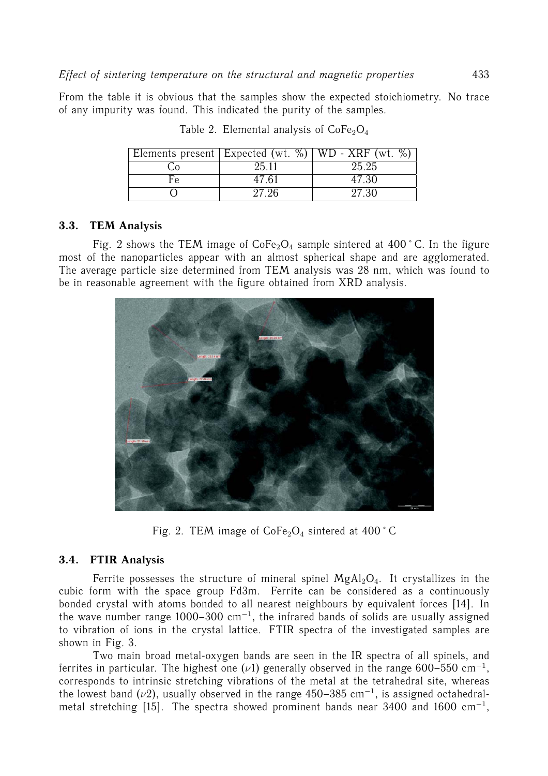From the table it is obvious that the samples show the expected stoichiometry. No trace of any impurity was found. This indicated the purity of the samples.

|    |       | Elements present   Expected (wt. $\%$ )   WD - XRF (wt. $\%$ ) |
|----|-------|----------------------------------------------------------------|
|    | 25.11 | 25.25                                                          |
| Fρ | 47.61 | 47.30                                                          |
|    | 27.26 | 27.30                                                          |

Table 2. Elemental analysis of  $\text{CoFe}_2\text{O}_4$ 

## **3.3. TEM Analysis**

Fig. 2 shows the TEM image of  $\text{CoFe}_2\text{O}_4$  sample sintered at 400 °C. In the figure most of the nanoparticles appear with an almost spherical shape and are agglomerated. The average particle size determined from TEM analysis was 28 nm, which was found to be in reasonable agreement with the figure obtained from XRD analysis.



Fig. 2. TEM image of  $CoFe<sub>2</sub>O<sub>4</sub>$  sintered at 400  $^{\circ}$  C

# **3.4. FTIR Analysis**

Ferrite possesses the structure of mineral spinel  $MgAl<sub>2</sub>O<sub>4</sub>$ . It crystallizes in the cubic form with the space group Fd3m. Ferrite can be considered as a continuously bonded crystal with atoms bonded to all nearest neighbours by equivalent forces [14]. In the wave number range 1000–300 cm*−*<sup>1</sup>, the infrared bands of solids are usually assigned to vibration of ions in the crystal lattice. FTIR spectra of the investigated samples are shown in Fig. 3.

Two main broad metal-oxygen bands are seen in the IR spectra of all spinels, and ferrites in particular. The highest one (ν1) generally observed in the range 600–550 cm*−*<sup>1</sup>, corresponds to intrinsic stretching vibrations of the metal at the tetrahedral site, whereas the lowest band ( $\nu$ 2), usually observed in the range 450–385 cm<sup>-1</sup>, is assigned octahedralmetal stretching [15]. The spectra showed prominent bands near 3400 and 1600 cm*−*<sup>1</sup>,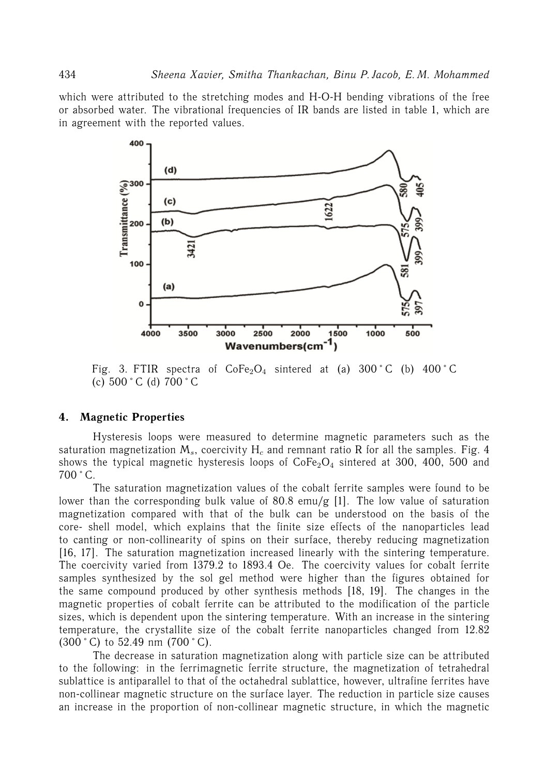which were attributed to the stretching modes and H-O-H bending vibrations of the free or absorbed water. The vibrational frequencies of IR bands are listed in table 1, which are in agreement with the reported values.



Fig. 3. FTIR spectra of  $\text{CoFe}_2\text{O}_4$  sintered at (a) 300 °C (b) 400 °C (c)  $500 \degree C$  (d)  $700 \degree C$ 

#### **4. Magnetic Properties**

Hysteresis loops were measured to determine magnetic parameters such as the saturation magnetization M*s*, coercivity H*<sup>c</sup>* and remnant ratio R for all the samples. Fig. 4 shows the typical magnetic hysteresis loops of  $CoFe<sub>2</sub>O<sub>4</sub>$  sintered at 300, 400, 500 and  $700 \degree C$ .

The saturation magnetization values of the cobalt ferrite samples were found to be lower than the corresponding bulk value of 80.8 emu/g [1]. The low value of saturation magnetization compared with that of the bulk can be understood on the basis of the core- shell model, which explains that the finite size effects of the nanoparticles lead to canting or non-collinearity of spins on their surface, thereby reducing magnetization [16, 17]. The saturation magnetization increased linearly with the sintering temperature. The coercivity varied from 1379.2 to 1893.4 Oe. The coercivity values for cobalt ferrite samples synthesized by the sol gel method were higher than the figures obtained for the same compound produced by other synthesis methods [18, 19]. The changes in the magnetic properties of cobalt ferrite can be attributed to the modification of the particle sizes, which is dependent upon the sintering temperature. With an increase in the sintering temperature, the crystallite size of the cobalt ferrite nanoparticles changed from 12.82  $(300 \degree C)$  to 52.49 nm  $(700 \degree C)$ .

The decrease in saturation magnetization along with particle size can be attributed to the following: in the ferrimagnetic ferrite structure, the magnetization of tetrahedral sublattice is antiparallel to that of the octahedral sublattice, however, ultrafine ferrites have non-collinear magnetic structure on the surface layer. The reduction in particle size causes an increase in the proportion of non-collinear magnetic structure, in which the magnetic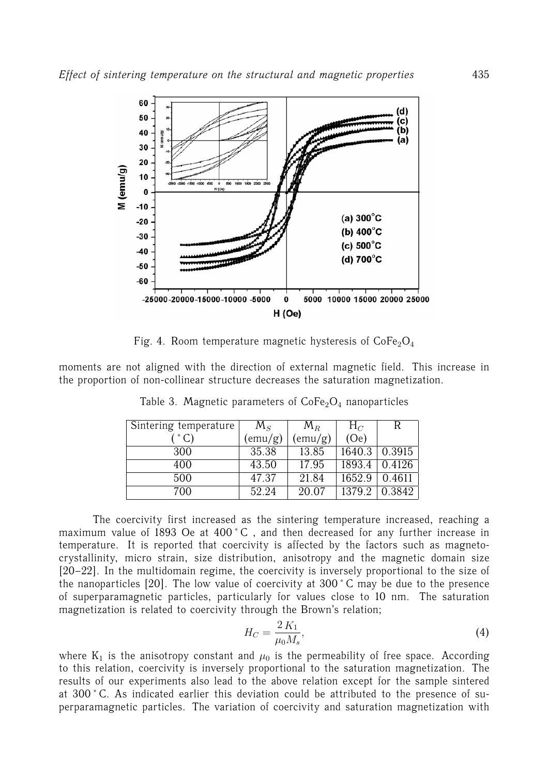

Fig. 4. Room temperature magnetic hysteresis of  $CoFe<sub>2</sub>O<sub>4</sub>$ 

moments are not aligned with the direction of external magnetic field. This increase in the proportion of non-collinear structure decreases the saturation magnetization.

| Sintering temperature | $M_{S}$         | $M_R$            | $H_C$  |        |
|-----------------------|-----------------|------------------|--------|--------|
| $\degree$ C)          | $\text{remu/g}$ | $\text{(emu/g)}$ | (Oe)   |        |
| 300                   | 35.38           | 13.85            | 1640.3 | 0.3915 |
| 400                   | 43.50           | 17.95            | 1893.4 | 0.4126 |
| 500                   | 47.37           | 21.84            | 1652.9 | 0.4611 |
| 700                   | 52.24           | 20.07            | 1379.2 | 0.3842 |

Table 3. Magnetic parameters of  $\text{CoFe}_2\text{O}_4$  nanoparticles

The coercivity first increased as the sintering temperature increased, reaching a maximum value of 1893 Oe at 400 °C, and then decreased for any further increase in temperature. It is reported that coercivity is affected by the factors such as magnetocrystallinity, micro strain, size distribution, anisotropy and the magnetic domain size [20–22]. In the multidomain regime, the coercivity is inversely proportional to the size of the nanoparticles [20]. The low value of coercivity at 300 ˚ C may be due to the presence of superparamagnetic particles, particularly for values close to 10 nm. The saturation magnetization is related to coercivity through the Brown's relation;

$$
H_C = \frac{2 K_1}{\mu_0 M_s},
$$
\n(4)

where  $K_1$  is the anisotropy constant and  $\mu_0$  is the permeability of free space. According to this relation, coercivity is inversely proportional to the saturation magnetization. The results of our experiments also lead to the above relation except for the sample sintered at 300 ˚ C. As indicated earlier this deviation could be attributed to the presence of superparamagnetic particles. The variation of coercivity and saturation magnetization with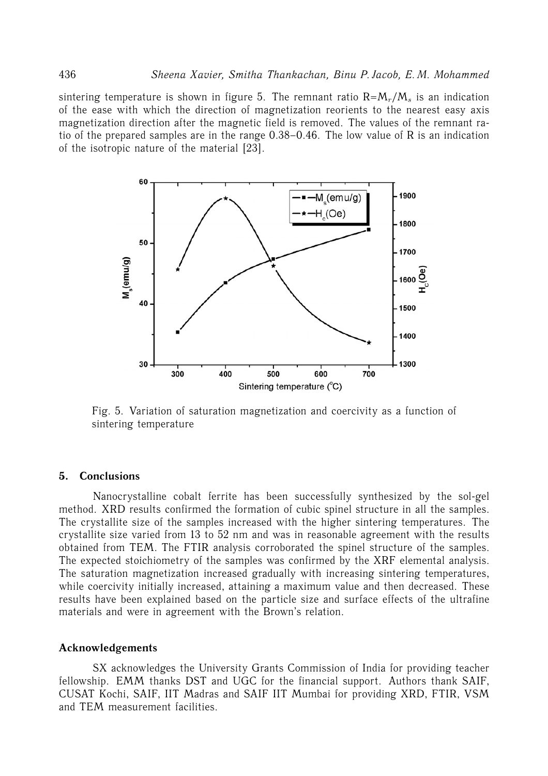sintering temperature is shown in figure 5. The remnant ratio  $R = M_r/M_s$  is an indication of the ease with which the direction of magnetization reorients to the nearest easy axis magnetization direction after the magnetic field is removed. The values of the remnant ratio of the prepared samples are in the range 0.38–0.46. The low value of R is an indication of the isotropic nature of the material [23].



Fig. 5. Variation of saturation magnetization and coercivity as a function of sintering temperature

#### **5. Conclusions**

Nanocrystalline cobalt ferrite has been successfully synthesized by the sol-gel method. XRD results confirmed the formation of cubic spinel structure in all the samples. The crystallite size of the samples increased with the higher sintering temperatures. The crystallite size varied from 13 to 52 nm and was in reasonable agreement with the results obtained from TEM. The FTIR analysis corroborated the spinel structure of the samples. The expected stoichiometry of the samples was confirmed by the XRF elemental analysis. The saturation magnetization increased gradually with increasing sintering temperatures, while coercivity initially increased, attaining a maximum value and then decreased. These results have been explained based on the particle size and surface effects of the ultrafine materials and were in agreement with the Brown's relation.

#### **Acknowledgements**

SX acknowledges the University Grants Commission of India for providing teacher fellowship. EMM thanks DST and UGC for the financial support. Authors thank SAIF, CUSAT Kochi, SAIF, IIT Madras and SAIF IIT Mumbai for providing XRD, FTIR, VSM and TEM measurement facilities.